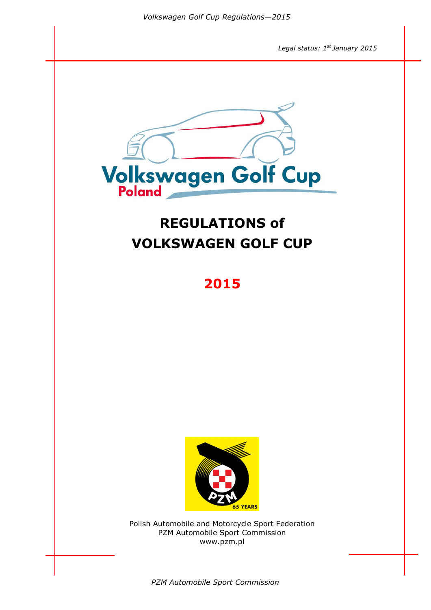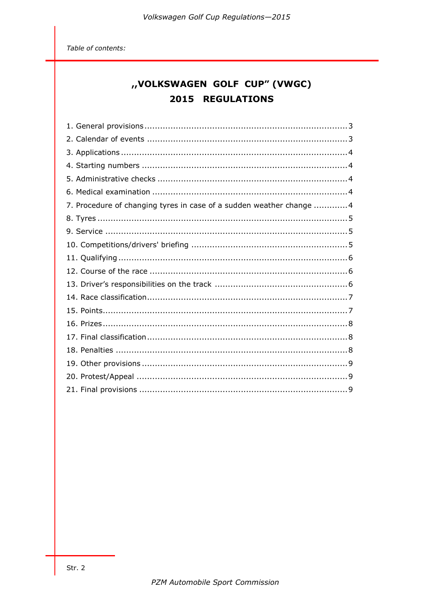Table of contents:

# "VOLKSWAGEN GOLF CUP" (VWGC) 2015 REGULATIONS

| 7. Procedure of changing tyres in case of a sudden weather change 4 |  |
|---------------------------------------------------------------------|--|
|                                                                     |  |
|                                                                     |  |
|                                                                     |  |
|                                                                     |  |
|                                                                     |  |
|                                                                     |  |
|                                                                     |  |
|                                                                     |  |
|                                                                     |  |
|                                                                     |  |
|                                                                     |  |
|                                                                     |  |
|                                                                     |  |
|                                                                     |  |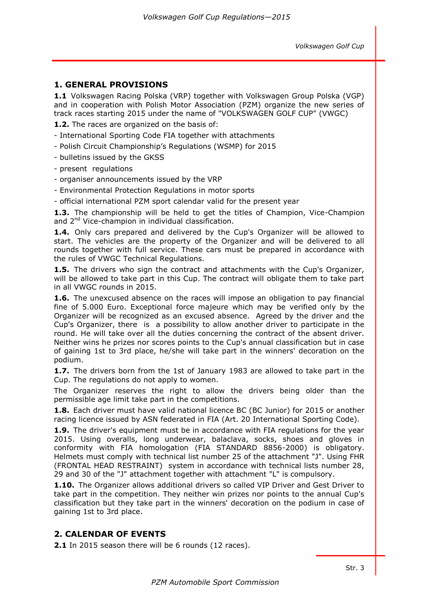# **1. GENERAL PROVISIONS**

**1.1** Volkswagen Racing Polska (VRP) together with Volkswagen Group Polska (VGP) and in cooperation with Polish Motor Association (PZM) organize the new series of track races starting 2015 under the name of "VOLKSWAGEN GOLF CUP" (VWGC)

**1.2.** The races are organized on the basis of:

- International Sporting Code FIA together with attachments
- Polish Circuit Championship's Regulations (WSMP) for 2015
- bulletins issued by the GKSS
- present regulations
- organiser announcements issued by the VRP
- Environmental Protection Regulations in motor sports
- official international PZM sport calendar valid for the present year

**1.3.** The championship will be held to get the titles of Champion, Vice-Champion and 2nd Vice-champion in individual classification.

**1.4.** Only cars prepared and delivered by the Cup's Organizer will be allowed to start. The vehicles are the property of the Organizer and will be delivered to all rounds together with full service. These cars must be prepared in accordance with the rules of VWGC Technical Regulations.

**1.5.** The drivers who sign the contract and attachments with the Cup's Organizer, will be allowed to take part in this Cup. The contract will obligate them to take part in all VWGC rounds in 2015.

**1.6.** The unexcused absence on the races will impose an obligation to pay financial fine of 5.000 Euro. Exceptional force majeure which may be verified only by the Organizer will be recognized as an excused absence. Agreed by the driver and the Cup's Organizer, there is a possibility to allow another driver to participate in the round. He will take over all the duties concerning the contract of the absent driver. Neither wins he prizes nor scores points to the Cup's annual classification but in case of gaining 1st to 3rd place, he/she will take part in the winners' decoration on the podium.

**1.7.** The drivers born from the 1st of January 1983 are allowed to take part in the Cup. The regulations do not apply to women.

The Organizer reserves the right to allow the drivers being older than the permissible age limit take part in the competitions.

**1.8.** Each driver must have valid national licence BC (BC Junior) for 2015 or another racing licence issued by ASN federated in FIA (Art. 20 International Sporting Code).

**1.9.** The driver's equipment must be in accordance with FIA regulations for the year 2015. Using overalls, long underwear, balaclava, socks, shoes and gloves in conformity with FIA homologation (FIA STANDARD 8856-2000) is obligatory. Helmets must comply with technical list number 25 of the attachment "J". Using FHR (FRONTAL HEAD RESTRAINT) system in accordance with technical lists number 28, 29 and 30 of the "J" attachment together with attachment "L" is compulsory.

**1.10.** The Organizer allows additional drivers so called VIP Driver and Gest Driver to take part in the competition. They neither win prizes nor points to the annual Cup's classification but they take part in the winners' decoration on the podium in case of gaining 1st to 3rd place.

# **2. CALENDAR OF EVENTS**

**2.1** In 2015 season there will be 6 rounds (12 races).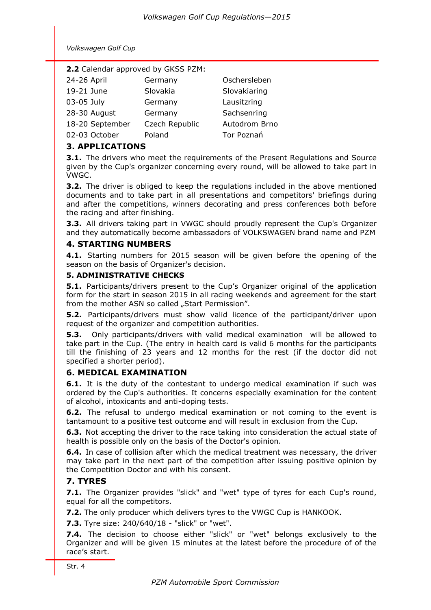| <b>2.2</b> Calendar approved by GKSS PZM: |                |               |  |  |
|-------------------------------------------|----------------|---------------|--|--|
| 24-26 April                               | Germany        | Oschersleben  |  |  |
| 19-21 June                                | Slovakia       | Slovakiaring  |  |  |
| 03-05 July                                | Germany        | Lausitzring   |  |  |
| 28-30 August                              | Germany        | Sachsenring   |  |  |
| 18-20 September                           | Czech Republic | Autodrom Brno |  |  |

02-03 October Poland Tor Poznań

# **3. APPLICATIONS**

**3.1.** The drivers who meet the requirements of the Present Regulations and Source given by the Cup's organizer concerning every round, will be allowed to take part in VWGC.

**3.2.** The driver is obliged to keep the regulations included in the above mentioned documents and to take part in all presentations and competitors' briefings during and after the competitions, winners decorating and press conferences both before the racing and after finishing.

**3.3.** All drivers taking part in VWGC should proudly represent the Cup's Organizer and they automatically become ambassadors of VOLKSWAGEN brand name and PZM

## **4. STARTING NUMBERS**

**4.1.** Starting numbers for 2015 season will be given before the opening of the season on the basis of Organizer's decision.

#### **5. ADMINISTRATIVE CHECKS**

**5.1.** Participants/drivers present to the Cup's Organizer original of the application form for the start in season 2015 in all racing weekends and agreement for the start from the mother ASN so called "Start Permission".

**5.2.** Participants/drivers must show valid licence of the participant/driver upon request of the organizer and competition authorities.

**5.3.** Only participants/drivers with valid medical examination will be allowed to take part in the Cup. (The entry in health card is valid 6 months for the participants till the finishing of 23 years and 12 months for the rest (if the doctor did not specified a shorter period).

# **6. MEDICAL EXAMINATION**

**6.1.** It is the duty of the contestant to undergo medical examination if such was ordered by the Cup's authorities. It concerns especially examination for the content of alcohol, intoxicants and anti-doping tests.

**6.2.** The refusal to undergo medical examination or not coming to the event is tantamount to a positive test outcome and will result in exclusion from the Cup.

**6.3.** Not accepting the driver to the race taking into consideration the actual state of health is possible only on the basis of the Doctor's opinion.

**6.4.** In case of collision after which the medical treatment was necessary, the driver may take part in the next part of the competition after issuing positive opinion by the Competition Doctor and with his consent.

## **7. TYRES**

**7.1.** The Organizer provides "slick" and "wet" type of tyres for each Cup's round, equal for all the competitors.

**7.2.** The only producer which delivers tyres to the VWGC Cup is HANKOOK.

**7.3.** Tyre size: 240/640/18 - "slick" or "wet".

**7.4.** The decision to choose either "slick" or "wet" belongs exclusively to the Organizer and will be given 15 minutes at the latest before the procedure of of the race's start.

Str. 4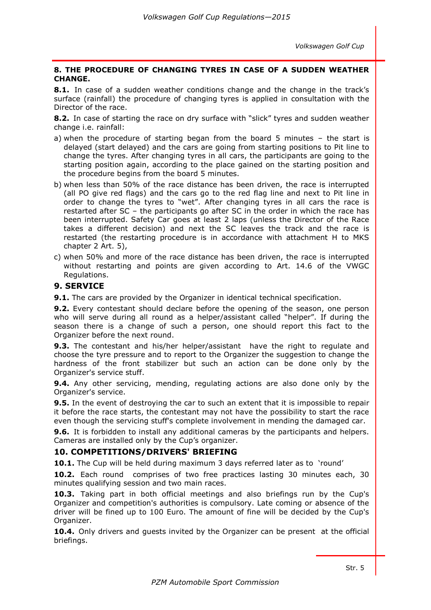#### **8. THE PROCEDURE OF CHANGING TYRES IN CASE OF A SUDDEN WEATHER CHANGE.**

**8.1.** In case of a sudden weather conditions change and the change in the track's surface (rainfall) the procedure of changing tyres is applied in consultation with the Director of the race.

**8.2.** In case of starting the race on dry surface with "slick" tyres and sudden weather change i.e. rainfall:

- a) when the procedure of starting began from the board 5 minutes the start is delayed (start delayed) and the cars are going from starting positions to Pit line to change the tyres. After changing tyres in all cars, the participants are going to the starting position again, according to the place gained on the starting position and the procedure begins from the board 5 minutes.
- b) when less than 50% of the race distance has been driven, the race is interrupted (all PO give red flags) and the cars go to the red flag line and next to Pit line in order to change the tyres to "wet". After changing tyres in all cars the race is restarted after SC – the participants go after SC in the order in which the race has been interrupted. Safety Car goes at least 2 laps (unless the Director of the Race takes a different decision) and next the SC leaves the track and the race is restarted (the restarting procedure is in accordance with attachment H to MKS chapter 2 Art. 5),
- c) when 50% and more of the race distance has been driven, the race is interrupted without restarting and points are given according to Art. 14.6 of the VWGC Regulations.

## **9. SERVICE**

**9.1.** The cars are provided by the Organizer in identical technical specification.

**9.2.** Every contestant should declare before the opening of the season, one person who will serve during all round as a helper/assistant called "helper". If during the season there is a change of such a person, one should report this fact to the Organizer before the next round.

**9.3.** The contestant and his/her helper/assistant have the right to regulate and choose the tyre pressure and to report to the Organizer the suggestion to change the hardness of the front stabilizer but such an action can be done only by the Organizer's service stuff.

**9.4.** Any other servicing, mending, regulating actions are also done only by the Organizer's service.

**9.5.** In the event of destroying the car to such an extent that it is impossible to repair it before the race starts, the contestant may not have the possibility to start the race even though the servicing stuff's complete involvement in mending the damaged car.

**9.6.** It is forbidden to install any additional cameras by the participants and helpers. Cameras are installed only by the Cup's organizer.

## **10. COMPETITIONS/DRIVERS' BRIEFING**

**10.1.** The Cup will be held during maximum 3 days referred later as to 'round'

**10.2.** Each round comprises of two free practices lasting 30 minutes each, 30 minutes qualifying session and two main races.

**10.3.** Taking part in both official meetings and also briefings run by the Cup's Organizer and competition's authorities is compulsory. Late coming or absence of the driver will be fined up to 100 Euro. The amount of fine will be decided by the Cup's Organizer.

**10.4.** Only drivers and guests invited by the Organizer can be present at the official briefings.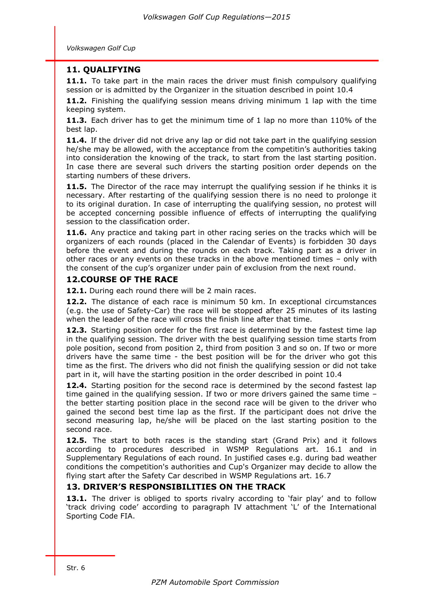# **11. QUALIFYING**

**11.1.** To take part in the main races the driver must finish compulsory qualifying session or is admitted by the Organizer in the situation described in point 10.4

**11.2.** Finishing the qualifying session means driving minimum 1 lap with the time keeping system.

**11.3.** Each driver has to get the minimum time of 1 lap no more than 110% of the best lap.

**11.4.** If the driver did not drive any lap or did not take part in the qualifying session he/she may be allowed, with the acceptance from the competitin's authorities taking into consideration the knowing of the track, to start from the last starting position. In case there are several such drivers the starting position order depends on the starting numbers of these drivers.

11.5. The Director of the race may interrupt the qualifying session if he thinks it is necessary. After restarting of the qualifying session there is no need to prolonge it to its original duration. In case of interrupting the qualifying session, no protest will be accepted concerning possible influence of effects of interrupting the qualifying session to the classification order.

**11.6.** Any practice and taking part in other racing series on the tracks which will be organizers of each rounds (placed in the Calendar of Events) is forbidden 30 days before the event and during the rounds on each track. Taking part as a driver in other races or any events on these tracks in the above mentioned times – only with the consent of the cup's organizer under pain of exclusion from the next round.

## **12.COURSE OF THE RACE**

**12.1.** During each round there will be 2 main races.

**12.2.** The distance of each race is minimum 50 km. In exceptional circumstances (e.g. the use of Safety-Car) the race will be stopped after 25 minutes of its lasting when the leader of the race will cross the finish line after that time.

**12.3.** Starting position order for the first race is determined by the fastest time lap in the qualifying session. The driver with the best qualifying session time starts from pole position, second from position 2, third from position 3 and so on. If two or more drivers have the same time - the best position will be for the driver who got this time as the first. The drivers who did not finish the qualifying session or did not take part in it, will have the starting position in the order described in point 10.4

**12.4.** Starting position for the second race is determined by the second fastest lap time gained in the qualifying session. If two or more drivers gained the same time – the better starting position place in the second race will be given to the driver who gained the second best time lap as the first. If the participant does not drive the second measuring lap, he/she will be placed on the last starting position to the second race.

**12.5.** The start to both races is the standing start (Grand Prix) and it follows according to procedures described in WSMP Regulations art. 16.1 and in Supplementary Regulations of each round. In justified cases e.g. during bad weather conditions the competition's authorities and Cup's Organizer may decide to allow the flying start after the Safety Car described in WSMP Regulations art. 16.7

# **13. DRIVER'S RESPONSIBILITIES ON THE TRACK**

13.1. The driver is obliged to sports rivalry according to 'fair play' and to follow 'track driving code' according to paragraph IV attachment 'L' of the International Sporting Code FIA.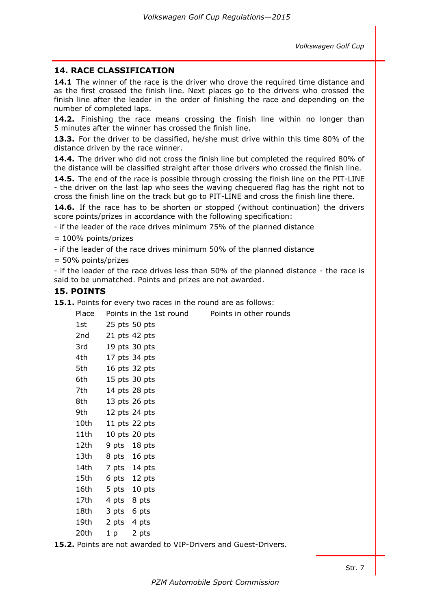## **14. RACE CLASSIFICATION**

**14.1** The winner of the race is the driver who drove the required time distance and as the first crossed the finish line. Next places go to the drivers who crossed the finish line after the leader in the order of finishing the race and depending on the number of completed laps.

**14.2.** Finishing the race means crossing the finish line within no longer than 5 minutes after the winner has crossed the finish line.

**13.3.** For the driver to be classified, he/she must drive within this time 80% of the distance driven by the race winner.

**14.4.** The driver who did not cross the finish line but completed the required 80% of the distance will be classified straight after those drivers who crossed the finish line.

**14.5.** The end of the race is possible through crossing the finish line on the PIT-LINE - the driver on the last lap who sees the waving chequered flag has the right not to cross the finish line on the track but go to PIT-LINE and cross the finish line there.

**14.6.** If the race has to be shorten or stopped (without continuation) the drivers score points/prizes in accordance with the following specification:

- if the leader of the race drives minimum 75% of the planned distance

 $= 100\%$  points/prizes

- if the leader of the race drives minimum 50% of the planned distance

= 50% points/prizes

- if the leader of the race drives less than 50% of the planned distance - the race is said to be unmatched. Points and prizes are not awarded.

## **15. POINTS**

**15.1.** Points for every two races in the round are as follows:

| Place                                                                                                          |                 | Points in the 1st round | Points in other rounds |
|----------------------------------------------------------------------------------------------------------------|-----------------|-------------------------|------------------------|
| 1st                                                                                                            | $25$ pts 50 pts |                         |                        |
| 2nd                                                                                                            | 21 pts 42 pts   |                         |                        |
| 3rd                                                                                                            | 19 pts 30 pts   |                         |                        |
| 4th                                                                                                            |                 | 17 pts 34 pts           |                        |
| 5th                                                                                                            |                 | 16 pts 32 pts           |                        |
| 6th                                                                                                            |                 | 15 pts $30$ pts         |                        |
| 7th                                                                                                            | 14 pts 28 pts   |                         |                        |
| 8th                                                                                                            |                 | 13 pts $26$ pts         |                        |
| 9th                                                                                                            |                 | 12 pts $24$ pts         |                        |
| 10th a                                                                                                         |                 | 11 pts $22$ pts         |                        |
| 11th                                                                                                           |                 | 10 pts $20$ pts         |                        |
| 12th                                                                                                           | 9 pts 18 pts    |                         |                        |
| 13th                                                                                                           | 8 pts 16 pts    |                         |                        |
| 14th                                                                                                           | 7 pts 14 pts    |                         |                        |
| 15th a                                                                                                         | 6 pts 12 pts    |                         |                        |
| 16th                                                                                                           | 5 pts 10 pts    |                         |                        |
| 17th to the set of the set of the set of the set of the set of the set of the set of the set of the set of the | 4 pts 8 pts     |                         |                        |
| 18th a                                                                                                         | 3 pts 6 pts     |                         |                        |
| 19th 2 pts 4 pts                                                                                               |                 |                         |                        |
| 20th                                                                                                           | 1 <sub>p</sub>  | 2 pts                   |                        |
|                                                                                                                |                 |                         |                        |

**15.2.** Points are not awarded to VIP-Drivers and Guest-Drivers.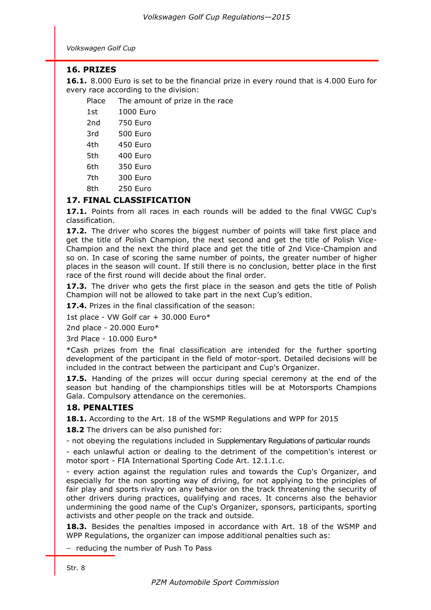# **16. PRIZES**

**16.1.** 8.000 Euro is set to be the financial prize in every round that is 4.000 Euro for every race according to the division:

Place The amount of prize in the race

| 1st | 1000 Euro       |
|-----|-----------------|
| 2nd | <b>750 Euro</b> |
| 3rd | 500 Euro        |
| 4th | 450 Euro        |
| 5th | 400 Euro        |
| 6th | 350 Euro        |
| 7th | 300 Euro        |
| 8th | 250 Euro        |

# **17. FINAL CLASSIFICATION**

**17.1.** Points from all races in each rounds will be added to the final VWGC Cup's classification.

**17.2.** The driver who scores the biggest number of points will take first place and get the title of Polish Champion, the next second and get the title of Polish Vice-Champion and the next the third place and get the title of 2nd Vice-Champion and so on. In case of scoring the same number of points, the greater number of higher places in the season will count. If still there is no conclusion, better place in the first race of the first round will decide about the final order.

**17.3.** The driver who gets the first place in the season and gets the title of Polish Champion will not be allowed to take part in the next Cup's edition.

**17.4.** Prizes in the final classification of the season:

1st place - VW Golf car + 30.000 Euro\*

2nd place - 20.000 Euro\*

3rd Place - 10.000 Euro\*

\*Cash prizes from the final classification are intended for the further sporting development of the participant in the field of motor-sport. Detailed decisions will be included in the contract between the participant and Cup's Organizer.

**17.5.** Handing of the prizes will occur during special ceremony at the end of the season but handing of the championships titles will be at Motorsports Champions Gala. Compulsory attendance on the ceremonies.

# **18. PENALTIES**

**18.1.** According to the Art. 18 of the WSMP Regulations and WPP for 2015

**18.2** The drivers can be also punished for:

- not obeying the regulations included in Supplementary Regulations of particular rounds

- each unlawful action or dealing to the detriment of the competition's interest or motor sport - FIA International Sporting Code Art. 12.1.1.c.

- every action against the regulation rules and towards the Cup's Organizer, and especially for the non sporting way of driving, for not applying to the principles of fair play and sports rivalry on any behavior on the track threatening the security of other drivers during practices, qualifying and races. It concerns also the behavior undermining the good name of the Cup's Organizer, sponsors, participants, sporting activists and other people on the track and outside.

**18.3.** Besides the penalties imposed in accordance with Art. 18 of the WSMP and WPP Regulations, the organizer can impose additional penalties such as:

- reducing the number of Push To Pass